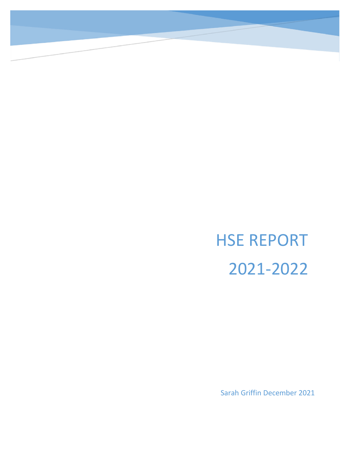# HSE REPORT 2021-2022

Sarah Griffin December 2021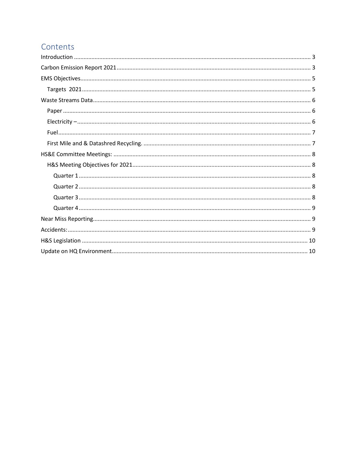# Contents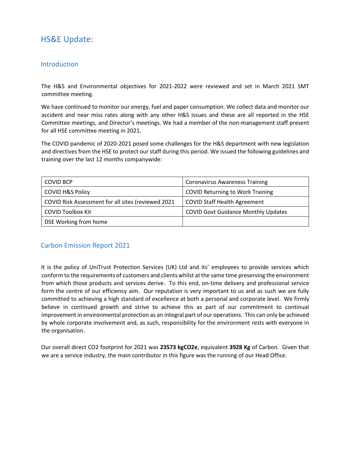# HS&E Update:

### <span id="page-2-0"></span>**Introduction**

The H&S and Environmental objectives for 2021-2022 were reviewed and set in March 2021 SMT committee meeting.

We have continued to monitor our energy, fuel and paper consumption. We collect data and monitor our accident and near miss rates along with any other H&S issues and these are all reported in the HSE Committee meetings, and Director's meetings. We had a member of the non-management staff present for all HSE committee meeting in 2021.

The COVID pandemic of 2020-2021 posed some challenges for the H&S department with new legislation and directives from the HSE to protect our staff during this period. We issued the following guidelines and training over the last 12 months companywide:

| <b>COVID BCP</b>                                   | <b>Coronavirus Awareness Training</b>      |
|----------------------------------------------------|--------------------------------------------|
| <b>COVID H&amp;S Policy</b>                        | <b>COVID Returning to Work Training</b>    |
| COVID Risk Assessment for all sites (reviewed 2021 | <b>COVID Staff Health Agreement</b>        |
| <b>COVID Toolbox Kit</b>                           | <b>COVID Govt Guidance Monthly Updates</b> |
| DSE Working from home                              |                                            |

# <span id="page-2-1"></span>Carbon Emission Report 2021

It is the policy of UniTrust Protection Services (UK) Ltd and its' employees to provide services which conform to the requirements of customers and clients whilst at the same time preserving the environment from which those products and services derive. To this end, on-time delivery and professional service form the centre of our efficiency aim. Our reputation is very important to us and as such we are fully committed to achieving a high standard of excellence at both a personal and corporate level. We firmly believe in continued growth and strive to achieve this as part of our commitment to continual improvement in environmental protection as an integral part of our operations. This can only be achieved by whole corporate involvement and, as such, responsibility for the environment rests with everyone in the organisation.

Our overall direct CO2 footprint for 2021 was **23573 kgCO2e**, equivalent **3928 Kg** of Carbon. Given that we are a service industry, the main contributor in this figure was the running of our Head Office.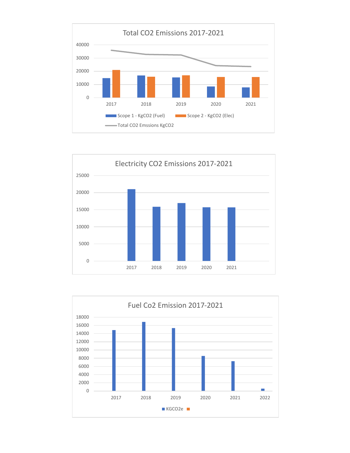



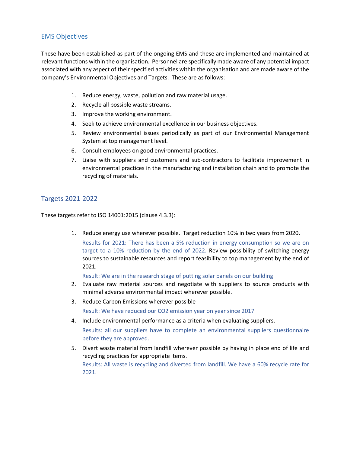## <span id="page-4-0"></span>EMS Objectives

These have been established as part of the ongoing EMS and these are implemented and maintained at relevant functions within the organisation. Personnel are specifically made aware of any potential impact associated with any aspect of their specified activities within the organisation and are made aware of the company's Environmental Objectives and Targets. These are as follows:

- 1. Reduce energy, waste, pollution and raw material usage.
- 2. Recycle all possible waste streams.
- 3. Improve the working environment.
- 4. Seek to achieve environmental excellence in our business objectives.
- 5. Review environmental issues periodically as part of our Environmental Management System at top management level.
- 6. Consult employees on good environmental practices.
- 7. Liaise with suppliers and customers and sub-contractors to facilitate improvement in environmental practices in the manufacturing and installation chain and to promote the recycling of materials.

#### <span id="page-4-1"></span>Targets 2021-2022

These targets refer to ISO 14001:2015 (clause 4.3.3):

1. Reduce energy use wherever possible. Target reduction 10% in two years from 2020. Results for 2021: There has been a 5% reduction in energy consumption so we are on target to a 10% reduction by the end of 2022. Review possibility of switching energy sources to sustainable resources and report feasibility to top management by the end of 2021.

Result: We are in the research stage of putting solar panels on our building

- 2. Evaluate raw material sources and negotiate with suppliers to source products with minimal adverse environmental impact wherever possible.
- 3. Reduce Carbon Emissions wherever possible Result: We have reduced our CO2 emission year on year since 2017
- 4. Include environmental performance as a criteria when evaluating suppliers.

Results: all our suppliers have to complete an environmental suppliers questionnaire before they are approved.

5. Divert waste material from landfill wherever possible by having in place end of life and recycling practices for appropriate items. Results: All waste is recycling and diverted from landfill. We have a 60% recycle rate for 2021.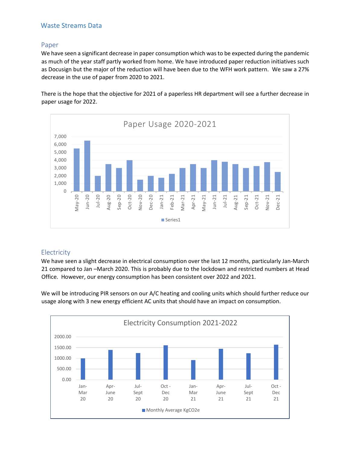# <span id="page-5-0"></span>Waste Streams Data

#### <span id="page-5-1"></span>Paper

We have seen a significant decrease in paper consumption which was to be expected during the pandemic as much of the year staff partly worked from home. We have introduced paper reduction initiatives such as Docusign but the major of the reduction will have been due to the WFH work pattern. We saw a 27% decrease in the use of paper from 2020 to 2021.

There is the hope that the objective for 2021 of a paperless HR department will see a further decrease in paper usage for 2022.



#### <span id="page-5-2"></span>**Electricity**

We have seen a slight decrease in electrical consumption over the last 12 months, particularly Jan-March 21 compared to Jan –March 2020. This is probably due to the lockdown and restricted numbers at Head Office. However, our energy consumption has been consistent over 2022 and 2021.

We will be introducing PIR sensors on our A/C heating and cooling units which should further reduce our usage along with 3 new energy efficient AC units that should have an impact on consumption.

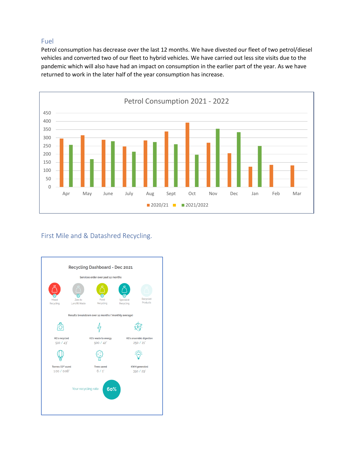# <span id="page-6-0"></span>Fuel

Petrol consumption has decrease over the last 12 months. We have divested our fleet of two petrol/diesel vehicles and converted two of our fleet to hybrid vehicles. We have carried out less site visits due to the pandemic which will also have had an impact on consumption in the earlier part of the year. As we have returned to work in the later half of the year consumption has increase.



# <span id="page-6-1"></span>First Mile and & Datashred Recycling.

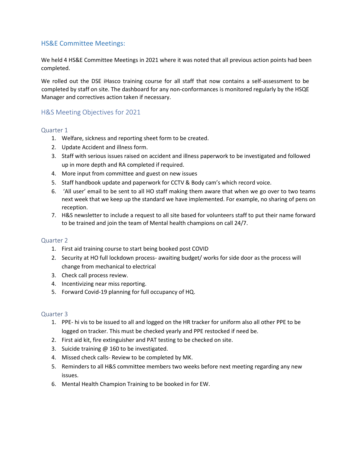## <span id="page-7-0"></span>HS&E Committee Meetings:

We held 4 HS&E Committee Meetings in 2021 where it was noted that all previous action points had been completed.

We rolled out the DSE iHasco training course for all staff that now contains a self-assessment to be completed by staff on site. The dashboard for any non-conformances is monitored regularly by the HSQE Manager and correctives action taken if necessary.

## <span id="page-7-1"></span>H&S Meeting Objectives for 2021

#### <span id="page-7-2"></span>Quarter 1

- 1. Welfare, sickness and reporting sheet form to be created.
- 2. Update Accident and illness form.
- 3. Staff with serious issues raised on accident and illness paperwork to be investigated and followed up in more depth and RA completed if required.
- 4. More input from committee and guest on new issues
- 5. Staff handbook update and paperwork for CCTV & Body cam's which record voice.
- 6. 'All user' email to be sent to all HO staff making them aware that when we go over to two teams next week that we keep up the standard we have implemented. For example, no sharing of pens on reception.
- 7. H&S newsletter to include a request to all site based for volunteers staff to put their name forward to be trained and join the team of Mental health champions on call 24/7.

#### <span id="page-7-3"></span>Quarter 2

- 1. First aid training course to start being booked post COVID
- 2. Security at HO full lockdown process- awaiting budget/ works for side door as the process will change from mechanical to electrical
- 3. Check call process review.
- 4. Incentivizing near miss reporting.
- 5. Forward Covid-19 planning for full occupancy of HQ.

#### <span id="page-7-4"></span>Quarter 3

- 1. PPE- hi vis to be issued to all and logged on the HR tracker for uniform also all other PPE to be logged on tracker. This must be checked yearly and PPE restocked if need be.
- 2. First aid kit, fire extinguisher and PAT testing to be checked on site.
- 3. Suicide training @ 160 to be investigated.
- 4. Missed check calls- Review to be completed by MK.
- 5. Reminders to all H&S committee members two weeks before next meeting regarding any new issues.
- 6. Mental Health Champion Training to be booked in for EW.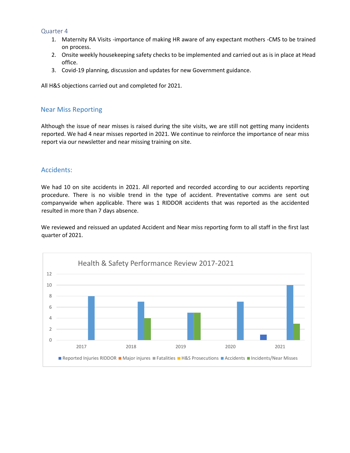#### <span id="page-8-0"></span>Quarter 4

- 1. Maternity RA Visits -importance of making HR aware of any expectant mothers -CMS to be trained on process.
- 2. Onsite weekly housekeeping safety checks to be implemented and carried out as is in place at Head office.
- 3. Covid-19 planning, discussion and updates for new Government guidance.

All H&S objections carried out and completed for 2021.

#### <span id="page-8-1"></span>Near Miss Reporting

Although the issue of near misses is raised during the site visits, we are still not getting many incidents reported. We had 4 near misses reported in 2021. We continue to reinforce the importance of near miss report via our newsletter and near missing training on site.

### <span id="page-8-2"></span>Accidents:

We had 10 on site accidents in 2021. All reported and recorded according to our accidents reporting procedure. There is no visible trend in the type of accident. Preventative comms are sent out companywide when applicable. There was 1 RIDDOR accidents that was reported as the accidented resulted in more than 7 days absence.

We reviewed and reissued an updated Accident and Near miss reporting form to all staff in the first last quarter of 2021.